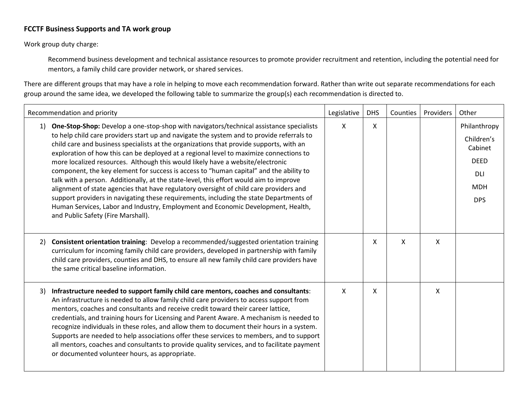## **FCCTF Business Supports and TA work group**

Work group duty charge:

Recommend business development and technical assistance resources to promote provider recruitment and retention, including the potential need for mentors, a family child care provider network, or shared services.

There are different groups that may have a role in helping to move each recommendation forward. Rather than write out separate recommendations for each group around the same idea, we developed the following table to summarize the group(s) each recommendation is directed to.

| Recommendation and priority                                                                                                                                                                                                                                                                                                                                                                                                                                                                                                                                                                                                                                                                                                                                                                                                                                                                                                                                                |   | <b>DHS</b> | Counties | Providers | Other                                                                                          |
|----------------------------------------------------------------------------------------------------------------------------------------------------------------------------------------------------------------------------------------------------------------------------------------------------------------------------------------------------------------------------------------------------------------------------------------------------------------------------------------------------------------------------------------------------------------------------------------------------------------------------------------------------------------------------------------------------------------------------------------------------------------------------------------------------------------------------------------------------------------------------------------------------------------------------------------------------------------------------|---|------------|----------|-----------|------------------------------------------------------------------------------------------------|
| <b>One-Stop-Shop:</b> Develop a one-stop-shop with navigators/technical assistance specialists<br>1)<br>to help child care providers start up and navigate the system and to provide referrals to<br>child care and business specialists at the organizations that provide supports, with an<br>exploration of how this can be deployed at a regional level to maximize connections to<br>more localized resources. Although this would likely have a website/electronic<br>component, the key element for success is access to "human capital" and the ability to<br>talk with a person. Additionally, at the state-level, this effort would aim to improve<br>alignment of state agencies that have regulatory oversight of child care providers and<br>support providers in navigating these requirements, including the state Departments of<br>Human Services, Labor and Industry, Employment and Economic Development, Health,<br>and Public Safety (Fire Marshall). | X | X          |          |           | Philanthropy<br>Children's<br>Cabinet<br><b>DEED</b><br><b>DLI</b><br><b>MDH</b><br><b>DPS</b> |
| Consistent orientation training: Develop a recommended/suggested orientation training<br>2)<br>curriculum for incoming family child care providers, developed in partnership with family<br>child care providers, counties and DHS, to ensure all new family child care providers have<br>the same critical baseline information.                                                                                                                                                                                                                                                                                                                                                                                                                                                                                                                                                                                                                                          |   | X          | X        | X         |                                                                                                |
| Infrastructure needed to support family child care mentors, coaches and consultants:<br>3)<br>An infrastructure is needed to allow family child care providers to access support from<br>mentors, coaches and consultants and receive credit toward their career lattice,<br>credentials, and training hours for Licensing and Parent Aware. A mechanism is needed to<br>recognize individuals in these roles, and allow them to document their hours in a system.<br>Supports are needed to help associations offer these services to members, and to support<br>all mentors, coaches and consultants to provide quality services, and to facilitate payment<br>or documented volunteer hours, as appropriate.                                                                                                                                                                                                                                                            | X | X          |          | X         |                                                                                                |